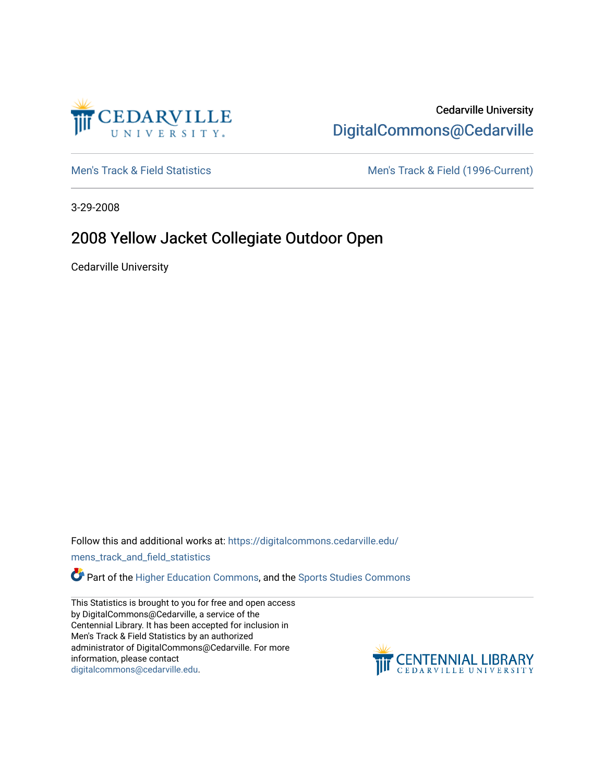

## Cedarville University [DigitalCommons@Cedarville](https://digitalcommons.cedarville.edu/)

[Men's Track & Field Statistics](https://digitalcommons.cedarville.edu/mens_track_and_field_statistics) [Men's Track & Field \(1996-Current\)](https://digitalcommons.cedarville.edu/mens_track_and_field) 

3-29-2008

## 2008 Yellow Jacket Collegiate Outdoor Open

Cedarville University

Follow this and additional works at: [https://digitalcommons.cedarville.edu/](https://digitalcommons.cedarville.edu/mens_track_and_field_statistics?utm_source=digitalcommons.cedarville.edu%2Fmens_track_and_field_statistics%2F184&utm_medium=PDF&utm_campaign=PDFCoverPages)

[mens\\_track\\_and\\_field\\_statistics](https://digitalcommons.cedarville.edu/mens_track_and_field_statistics?utm_source=digitalcommons.cedarville.edu%2Fmens_track_and_field_statistics%2F184&utm_medium=PDF&utm_campaign=PDFCoverPages)

**Part of the [Higher Education Commons,](http://network.bepress.com/hgg/discipline/1245?utm_source=digitalcommons.cedarville.edu%2Fmens_track_and_field_statistics%2F184&utm_medium=PDF&utm_campaign=PDFCoverPages) and the Sports Studies Commons** 

This Statistics is brought to you for free and open access by DigitalCommons@Cedarville, a service of the Centennial Library. It has been accepted for inclusion in Men's Track & Field Statistics by an authorized administrator of DigitalCommons@Cedarville. For more information, please contact [digitalcommons@cedarville.edu](mailto:digitalcommons@cedarville.edu).

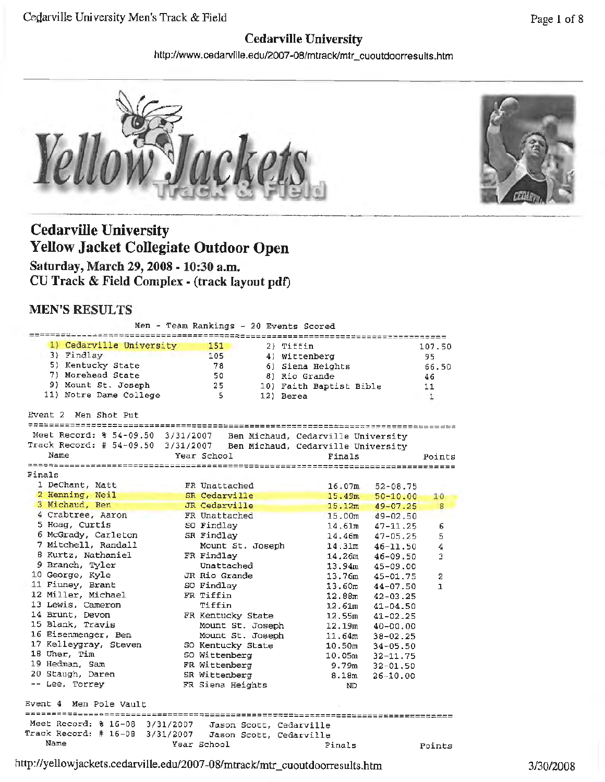### **Cedarville University**

http://www.cedarville.edu/2007-08/mtrack/mtr\_cuoutdoorresults.htm





# **Cedarville University Yellow Jacket Collegiate Outdoor Open**

**Saturday, March 29, 2008 - 10:30 a.m. CU Track & Field Complex - (track layout pdt)** 

### **MEN'S RESULTS**

Men - Team Rankings - *20* Events Scored *1)* Cedarville University **151** 2) Tiffin 3) Findlay 105 4) Wittenberg 5) Kentucky State 78 6) Siena Heights 7) Morehead State 50 8) Rio Grande 9) Mount St. Joseph 25 10) Faith Baptist 11) Notre Dame College 5 12) Berea Event 2 Men Shot Put 107.50 95 66.50 46 Bible 11 1 *~=------===~=====~--==============-------=========-------------~==---------------* Meet Record: % 54-09.50 3/31/2007 Ben Michaud, Cedarville University Track Record: # 54-09.50 3/31/2007 Ben Michaud, Cedarville University Name Year School Finals Points Finals 1 DeChant, Matt FR Unattached 16.07m <sup>2</sup>**Henning,** Neil **SR Cedarville 15.49m**  3 Michaud, Ben JR Cedarville 15.12m 4 Crabtree, Aaron FR Unattached 15.00m 5 Hoag, Curtis 50 Findlay 14.61m 6 McGrady, Carleton SR Findlay 14.46m 7 Mitchell, Randall Mount St. Joseph 14.31m 8 Kurtz, Nathaniel FR Findlay 14.26m 9 Branch, Tyler Unattached 13.94m 10 George, Kyle JR Rio Grande 13. 76m 11 Finney, Brant SO Findlay 13.60m 12 Miller, Michael FR Tiffin 12.88m 13 Lewis, Cameron 12.61m 14 Brunt, Devon FR Kentucky State 12.55m 15 Blank, Travis Mount St. Joseph 12.19m 16 Eisenmenger, Ben Mount St. Joseph 11.64m 17 Kelleygray, Steven SO Kentucky State 10.50m 18 Uher, Tim SO Wittenberg 10.05m 19 Hedman, Sam **FR** Wittenberg 9.79m 20 Staugh, Daren SR Wittenberg 8.18m Lee, Torrey FR Siena Heights ND Event 4 Men Pole vault Meet Record: % 16-08 3/31/2007 Jason Scott, Cedarville Track Record: # 16-08 3/31/2007 Jason Scott, Cedarville Name Year School Finals 52-08.75 50-10.00 **49-07.25**  49-02.50 47-11.25 47-05.25 46-11. 50 46-09.50 45-09.00 45-01.75 44-07.50 42-03.25 41-04.50 41-02.25 40-00.00 38-02.25 34-05.50 32-11.75 32-01. 50 26-10.00 10 8 6 5 4 3 2 1 Points

http://yellowjackets.cedarville.edu/2007-08/mtrack/mtr\_cuoutdoorresults.htm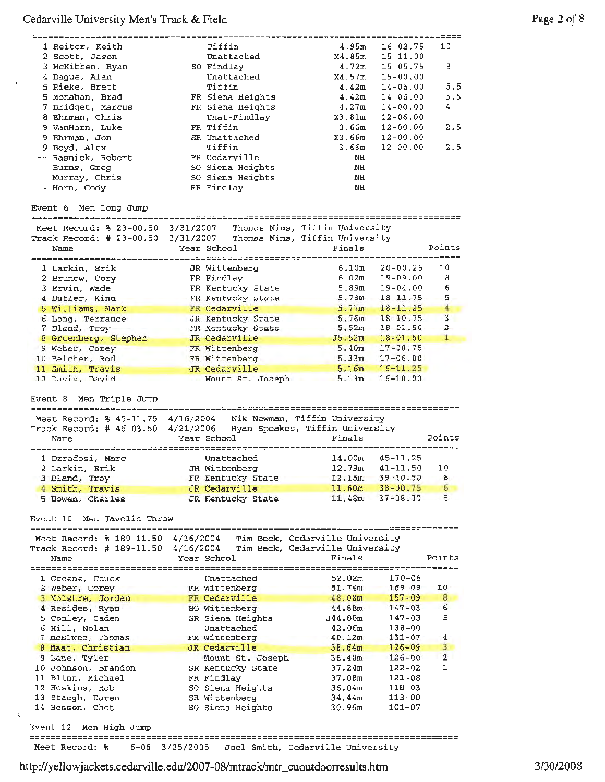$\langle \rangle$ 

 $\sim$ i

 $\mathbb{Q}^{\mathbb{Z}}$ 

| ;=====================                                                                             |           |                        |                                                                    | ================                 |                         |
|----------------------------------------------------------------------------------------------------|-----------|------------------------|--------------------------------------------------------------------|----------------------------------|-------------------------|
| 1 Reiter, Keith                                                                                    |           | Tiffin                 | 4.95m                                                              | $16 - 02.75$                     | 10                      |
| 2 Scott, Jason                                                                                     |           | Unattached             | X4.85m                                                             | $15 - 11.00$                     |                         |
| 3 McKibben, Ryan                                                                                   |           | SO Findlay             | 4.72m                                                              | $15 - 05.75$                     | 8                       |
|                                                                                                    |           |                        |                                                                    |                                  |                         |
| 4 Dague, Alan                                                                                      |           | Unattached             | X4.57m                                                             | $15 - 00.00$                     |                         |
| 5 Rieke, Brett                                                                                     |           | Tiffin                 | 4.42m                                                              | $14 - 06.00$                     | 5.5                     |
| 5 Monahan, Brad                                                                                    |           | FR Siena Heights       | 4.42m                                                              | $14 - 06.00$                     | 5.5                     |
| 7 Bridget, Marcus                                                                                  |           | FR Siena Heights       | 4.27m                                                              | $14 - 00.00$                     | 4                       |
| 8 Ehrman, Chris                                                                                    |           | Unat-Findlay           | X3.81m                                                             | $12 - 06.00$                     |                         |
|                                                                                                    |           |                        |                                                                    |                                  |                         |
| 9 VanHorn, Luke                                                                                    |           | FR Tiffin              | 3.66m                                                              | $12 - 00,00$                     | 2.5                     |
| 9 Ehrman, Jon                                                                                      |           | SR Unattached          | X3.66m                                                             | $12 - 00.00$                     |                         |
| 9 Boyd, Alex                                                                                       |           | Tiffin                 | 3.66m                                                              | $12 - 00.00$                     | 2.5                     |
| -- Rasnick, Robert                                                                                 |           | FR Cedarville          | NH                                                                 |                                  |                         |
| -- Burns, Greg                                                                                     |           | SO Siena Heights       | NH                                                                 |                                  |                         |
|                                                                                                    |           | SO Siena Heights       |                                                                    |                                  |                         |
| -- Murray, Chris                                                                                   |           |                        | NH                                                                 |                                  |                         |
| -- Horn, Cody                                                                                      |           | FR Findlay             | $_{\rm NH}$                                                        |                                  |                         |
|                                                                                                    |           |                        |                                                                    |                                  |                         |
| Event 6 Men Long Jump                                                                              |           |                        |                                                                    |                                  |                         |
| ==============================                                                                     |           | ====================== |                                                                    |                                  |                         |
|                                                                                                    |           |                        | Thomas Nims, Tiffin University                                     |                                  |                         |
| Meet Record: % 23-00.50 3/31/2007                                                                  |           |                        |                                                                    |                                  |                         |
| Track Record: # 23-00.50                                                                           | 3/31/2007 |                        | Thomas Nims, Tiffin University                                     |                                  |                         |
| Name                                                                                               |           | Year School            | Finals                                                             |                                  | Points                  |
|                                                                                                    |           |                        |                                                                    |                                  |                         |
| 1 Larkin, Erik                                                                                     |           | JR Wittenberg          | 6.10m                                                              | $20 - 00.25$                     | 10                      |
|                                                                                                    |           |                        | 6.02m                                                              | $19 - 09.00$                     | 8                       |
| 2 Brunow, Cory                                                                                     |           | FR Findlay             |                                                                    |                                  |                         |
| 3 Ervin, Wade                                                                                      |           | FR Kentucky State      | 5.89m                                                              | 19-04.00                         | 6                       |
| 4 Butler, Kind                                                                                     |           | FR Kentucky State      |                                                                    | $5.78m$ 18-11.75                 | 5                       |
| 5 Williams, Mark                                                                                   |           | FR Cedarville          | 5.77m                                                              | $18 - 11.25$                     | $\overline{4}$          |
| 6 Long, Terrance                                                                                   |           | JR Kentucky State      | 5.76m                                                              | $18 - 10.75$                     | $\overline{\mathbf{3}}$ |
| 7 Bland, Troy                                                                                      |           | FR Kentucky State      | 5.52m                                                              | $18 - 01.50$                     | $\mathbf{z}$            |
|                                                                                                    |           |                        |                                                                    |                                  |                         |
| 8 Gruenberg, Stephen                                                                               |           | JR Cedarville          | J5.52m                                                             | $18 - 01.50$                     | $\mathbf{1}$            |
| 9 Weber, Corey                                                                                     |           | FR Wittenberg          | 5.40 <sub>m</sub>                                                  | $17 - 08.75$                     |                         |
| 10 Belcher, Rod                                                                                    |           | FR Wittenberg          | 5.33m                                                              | $17 - 06.00$                     |                         |
| 11 Smith, Travis                                                                                   |           | JR Cedarville          | 5.16m                                                              | $16 - 11.25$                     |                         |
| 12 Davis, David                                                                                    |           | Mount St. Joseph       | 5.13m                                                              | $16 - 10.00$                     |                         |
|                                                                                                    |           |                        |                                                                    |                                  |                         |
|                                                                                                    |           |                        |                                                                    |                                  |                         |
| Event 8 Men Triple Jump<br>Meet Record: % 45-11.75 4/16/2004<br>Track Record: # 46-03.50 4/21/2006 |           |                        | Nik Newman, Tiffin University                                      |                                  |                         |
| Name                                                                                               |           |                        | Ryan Speakes, Tiffin University<br>Finals                          |                                  | Points                  |
|                                                                                                    |           | Year School            |                                                                    |                                  |                         |
| ===================                                                                                |           | --------------------   |                                                                    | ________________________________ |                         |
| 1 Dzradosi, Marc                                                                                   |           | Unattached             | 14.00m                                                             | $45 - 11, 25$                    |                         |
| 2 Larkin, Erik                                                                                     |           | JR Wittenberg          | 12.79m                                                             | $41 - 11.50$                     | 10                      |
| 3 Bland, Troy                                                                                      |           | FR Kentucky State      | 12.15m                                                             | $39 - 10.50$ 8                   |                         |
| 4 Smith, Travis                                                                                    |           | JR Cedarville          | 11.60m                                                             | $38 - 00.75$                     | 6                       |
|                                                                                                    |           |                        |                                                                    |                                  |                         |
| 5 Bowen, Charles                                                                                   |           | JR Kentucky State      | 11.48m                                                             | $37 - 08.00$                     | 5                       |
| Event 10 Men Javelin Throw<br>Meet Record: % 189-11.50 4/16/2004<br>Track Record: # 189-11.50      | 4/16/2004 |                        | Tim Beck, Cedarville University<br>Tim Beck, Cedarville University | --------------------             |                         |
| Name                                                                                               |           | Year School            | Finals                                                             |                                  | Points                  |
|                                                                                                    |           |                        |                                                                    |                                  |                         |
|                                                                                                    |           |                        |                                                                    |                                  |                         |
| 1 Greene, Chuck                                                                                    |           | Unattached             | 52.02m                                                             | $170 - 08$                       |                         |
| 2 Weber, Corey                                                                                     |           | FR Wittenberg          | 51.74m                                                             | $169 - 09$                       | 10                      |
| 3 Molstre, Jordan                                                                                  |           | FR Cedarville          | 48.08m                                                             | $157 - 09$                       | 8                       |
| 4 Resides, Ryan                                                                                    |           | SO Wittenberg          | 44.88m                                                             | $147 - 03$                       | 6                       |
|                                                                                                    |           | SR Siena Heights       | J44.88m                                                            | $147 - 03$                       | 5                       |
| 5 Conley, Caden                                                                                    |           |                        |                                                                    |                                  |                         |
| 6 Hill, Nolan                                                                                      |           | Unattached             | 42.06m                                                             | 138-00                           |                         |
| 7 McElwee, Thomas                                                                                  |           | FR Wittenberg          | 40.12m                                                             | $131 - 07$                       | 4                       |
| 8 Maat, Christian                                                                                  |           | JR Cedarville          | 38.64m                                                             | $126 - 09$                       | 3                       |
| 9 Lane, Tyler                                                                                      |           | Mount St. Joseph       | 38.40m                                                             | $126 - 00$                       | 2                       |
|                                                                                                    |           |                        |                                                                    |                                  | 1                       |
| 10 Johnson, Brandon                                                                                |           | SR Kentucky State      | 37.24m                                                             | $122 - 02$                       |                         |
| 11 Blinn, Michael                                                                                  |           | FR Findlay             | 37.08m                                                             | 121-08                           |                         |
| 12 Hoskins, Rob                                                                                    |           | SO Siena Heights       | 36.04m                                                             | 118-03                           |                         |
| 13 Staugh, Daren                                                                                   |           | SR Wittenberg          | 34.44m                                                             | 113-00                           |                         |
| 14 Hesson, Chet                                                                                    |           |                        | 30.96m                                                             | 101-07                           |                         |
|                                                                                                    |           | SO Siena Heights       |                                                                    |                                  |                         |
| Event 12 Men High Jump                                                                             |           |                        |                                                                    |                                  |                         |

http://yel1owjackets.cedarville.edu/2007-08/mtrack/mtr \_cuoutdoorresul ts.htm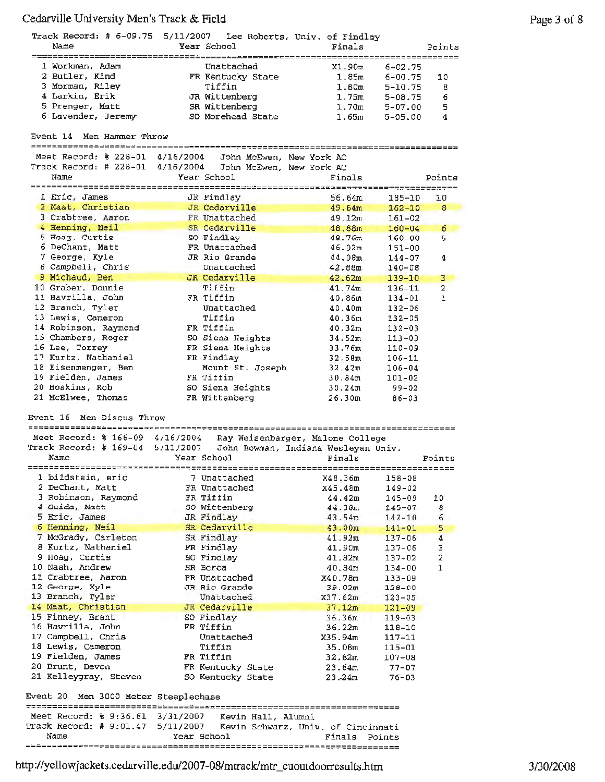| $\sim$ and $\sim$ inversion and interest $\sim$ 1100 |                                                                      |                                       |                         |
|------------------------------------------------------|----------------------------------------------------------------------|---------------------------------------|-------------------------|
|                                                      | Track Record: # 6-09.75 5/11/2007 Lee Roberts, Univ. of Findlay      |                                       |                         |
| Name                                                 | Year School                                                          | Finals                                | Points                  |
|                                                      |                                                                      |                                       |                         |
| 1 Workman, Adam                                      | Unattached                                                           | X1.90m<br>$6 - 02.75$                 |                         |
| 2 Butler, Kind                                       | FR Kentucky State                                                    | 1.85m<br>$6 - 00.75$                  | 10                      |
| 3 Morman, Riley                                      | Tiffin                                                               | 1.80 <sub>m</sub><br>$5 - 10.75$      | 8                       |
| 4 Larkin, Erik                                       | JR Wittenberg                                                        | 1.75m<br>$5 - 08.75$                  | 6                       |
| 5 Prenger, Matt                                      | SR Wittenberg                                                        | 1,70 <sub>m</sub>                     |                         |
|                                                      |                                                                      | $5 - 07.00$                           | 5                       |
| 6 Lavender, Jeremy                                   | SO Morehead State                                                    | 1.65m<br>$5 - 05.00$                  | 4                       |
|                                                      |                                                                      |                                       |                         |
| Men Hammer Throw<br>Event 14                         |                                                                      |                                       |                         |
|                                                      |                                                                      |                                       |                         |
| Meet Record: % 228-01 4/16/2004                      | John McEwen, New York AC                                             |                                       |                         |
| Track Record: # 228-01                               | 4/16/2004 John McEwen, New York AC                                   |                                       |                         |
| Name                                                 | Year School                                                          | Finals                                | Points                  |
|                                                      |                                                                      | ===================================== |                         |
| 1 Eric, James                                        | JR Findlay                                                           | 56.64m<br>$185 - 10$                  | 10                      |
| 2 Maat, Christian                                    | JR Cedarville                                                        | 49.64m<br>$162 - 10$                  | 8                       |
| 3 Crabtree, Aaron                                    | FR Unattached                                                        | 49.12m<br>$161 - 02$                  |                         |
| 4 Henning, Neil                                      |                                                                      |                                       |                         |
|                                                      | SR Cedarville                                                        | 48.88m<br>$160 - 04$                  | 6                       |
| 5 Hoag, Curtis                                       | SO Findlay                                                           | 48.76m<br>$160 - 00$                  | 5                       |
| 6 DeChant, Matt                                      | FR Unattached                                                        | 46.02m<br>$151 - 00$                  |                         |
| 7 George, Kyle                                       | JR Rio Grande                                                        | 44,08m<br>$144 - 07$                  | 4                       |
| 8 Campbell, Chris                                    | Unattached                                                           | 42.88m<br>$140 - 08$                  |                         |
| 9 Michaud, Ben                                       | JR Cedarville                                                        | 42.62m<br>$139 - 10$                  | 3                       |
| 10 Graber, Donnie                                    | Tiffin                                                               | 41.74m<br>$136 - 11$                  | $\overline{2}$          |
| 11 Havrilla, John                                    | FR Tiffin                                                            | 40.86m<br>134-01                      | ı                       |
| 12 Branch, Tyler                                     | Unattached                                                           |                                       |                         |
|                                                      |                                                                      | 40.40m<br>$132 - 06$                  |                         |
| 13 Lewis, Cameron                                    | Tiffin                                                               | 40.36m<br>$132 - 05$                  |                         |
| 14 Robinson, Raymond                                 | FR Tiffin                                                            | 40.32m<br>$132 - 03$                  |                         |
| 15 Chambers, Roger                                   | SO Siena Heights                                                     | 34.52m<br>$113 - 03$                  |                         |
| 16 Lee, Torrey                                       | FR Siena Heights                                                     | $110 - 09$<br>33.76m                  |                         |
| 17 Kurtz, Nathaniel                                  | FR Findlay                                                           | 32.58m<br>$106 - 11$                  |                         |
| 18 Eisenmenger, Ben                                  | Mount St. Joseph                                                     | 32.42m<br>$106 - 04$                  |                         |
| 19 Fielden, James                                    | FR Tiffin                                                            | 30.84m<br>101-02                      |                         |
| 20 Hoskins, Rob                                      | SO Siena Heights                                                     | 30.24m<br>99-02                       |                         |
|                                                      |                                                                      |                                       |                         |
| 21 McElwee, Thomas                                   | FR Wittenberg                                                        | 26.30m<br>$86 - 03$                   |                         |
|                                                      |                                                                      |                                       |                         |
| Men Discus Throw<br>Event 16                         |                                                                      |                                       |                         |
| ==========================                           |                                                                      |                                       |                         |
| Meet Record: % 166-09 4/16/2004                      |                                                                      | Ray Weisenbarger, Malone College      |                         |
| Track Record: # 169-04                               | 5/11/2007 John Bowman, Indiana Wesleyan Univ.                        |                                       |                         |
| Name                                                 | Year School                                                          | Finals                                | Points                  |
|                                                      |                                                                      |                                       | =============           |
| 1 bildstein, eric                                    | 7 Unattached                                                         | X48.36m<br>158-08                     |                         |
| 2 DeChant, Matt                                      | FR Unattached                                                        | x45.48m<br>149-02                     |                         |
| 3 Robinson, Raymond                                  | FR Tiffin                                                            | 44.42m<br>145-09                      | 10                      |
| 4 Guida, Matt                                        |                                                                      |                                       |                         |
|                                                      | SO Wittenberg                                                        | 44.38m<br>$145 - 07$                  | 8                       |
| 5 Eric, James                                        | JR Findlay                                                           | 43.54m<br>$142 - 10$                  | 6                       |
| 6 Henning, Neil                                      | SR Cedarville                                                        | 43.00m<br>$141 - 01$                  | 5                       |
| 7 McGrady, Carleton                                  | SR Findlay                                                           | 41.92m<br>$137 - 06$                  | 4                       |
| 8 Kurtz, Nathaniel                                   | FR Findlay                                                           | 41.90m<br>$137 - 06$                  | 3                       |
| 9 Hoag, Curtis                                       | SO Findlay                                                           | $137 - 02$<br>41.82m                  | $\overline{\mathbf{2}}$ |
| 10 Nash, Andrew                                      | SR Berea                                                             | 40.84m<br>$134 - 00$                  | 1                       |
| 11 Crabtree, Aaron                                   | FR Unattached                                                        | X40.78m<br>$133 - 09$                 |                         |
| 12 George, Kyle                                      | JR Rio Grande                                                        | 39.02m                                |                         |
|                                                      |                                                                      | $128 - 00$                            |                         |
| 13 Branch, Tyler                                     | Unattached                                                           | X37.62m<br>$123 - 05$                 |                         |
| 14 Maat, Christian                                   | JR Cedarville                                                        | 37.12m<br>$121 - 09$                  |                         |
| 15 Finney, Brant                                     | SO Findlay                                                           | 36.36m<br>$119 - 03$                  |                         |
| 16 Havrilla, John                                    | FR Tiffin                                                            | 36.22m<br>$118 - 10$                  |                         |
| 17 Campbell, Chris                                   | Unattached                                                           | X35.94m<br>$117 - 11$                 |                         |
| 18 Lewis, Cameron                                    | Tiffin                                                               | 35.06m<br>$115 - 01$                  |                         |
| 19 Fielden, James                                    | FR Tiffin                                                            | 32.82m<br>$107 - 08$                  |                         |
| 20 Brunt, Devon                                      | FR Kentucky State                                                    | 23.64m<br>$77 - 07$                   |                         |
| 21 Kelleygray, Steven                                | SO Kentucky State                                                    | 23.24m<br>$76 - 03$                   |                         |
|                                                      |                                                                      |                                       |                         |
|                                                      |                                                                      |                                       |                         |
| Event 20 Men 3000 Meter Steeplechase                 |                                                                      |                                       |                         |
|                                                      |                                                                      |                                       |                         |
|                                                      | Meet Record: % 9:36.61 3/31/2007 Kevin Hall, Alumni                  |                                       |                         |
|                                                      | Track Record: # 9:01.47 5/11/2007 Kevin Schwarz, Univ. of Cincinnati |                                       |                         |
| Name                                                 | Year School                                                          | Finals Points                         |                         |
|                                                      |                                                                      |                                       |                         |
|                                                      |                                                                      |                                       |                         |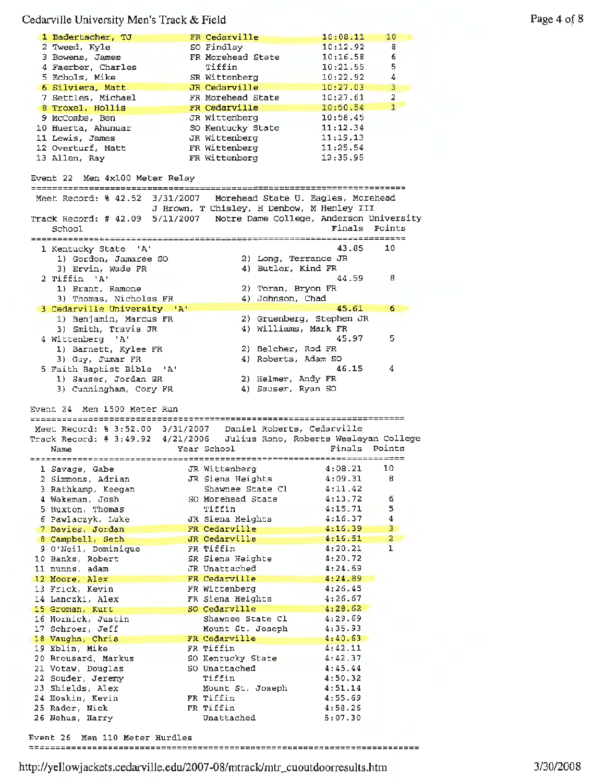| 1 Badertscher, TJ                                                       |           | FR Cedarville                              | 10:08.11                 | 10                      |
|-------------------------------------------------------------------------|-----------|--------------------------------------------|--------------------------|-------------------------|
| 2 Tweed, Kyle                                                           |           | SO Findlay                                 | 10:12.92                 | 8                       |
| 3 Bowens, James                                                         |           | FR Morehead State                          | 10:16.58                 | 6                       |
| 4 Faerber, Charles                                                      |           | Tiffin                                     | 10:21.55                 | 5                       |
| 5 Echols, Mike                                                          |           | SR Wittenberg                              | 10:22.92                 | 4                       |
| 6 Silviera, Matt                                                        |           | JR Cedarville                              | 10:27.03                 | 3                       |
|                                                                         |           |                                            |                          |                         |
| 7 Settles, Michael                                                      |           | FR Morehead State                          | 10:27.61                 | $\overline{2}$          |
| 8 Troxel, Hollis                                                        |           | FR Cedarville                              | 10:50.54                 | $1 -$                   |
| 9 McCombs, Ben                                                          |           | JR Wittenberg                              | 10:58.45                 |                         |
| 10 Huerta, Ahunuar                                                      |           | SO Kentucky State                          | 11:12.34                 |                         |
| 11 Lewis, James                                                         |           | JR Wittenberg                              | 11:19.13                 |                         |
|                                                                         |           | FR Wittenberg                              | 11:25.54                 |                         |
| 12 Overturf, Matt                                                       |           |                                            |                          |                         |
| 13 Allen, Ray                                                           |           | FR Wittenberg                              | 12:35.95                 |                         |
| Event 22 Men 4x100 Meter Relay<br>=============================         |           |                                            |                          |                         |
| Meet Record: % 42.52                                                    | 3/31/2007 | Morehead State U. Eagles, Morehead         |                          |                         |
|                                                                         |           | J Brown, T Chisley, H Denbow, M Henley III |                          |                         |
|                                                                         |           |                                            |                          |                         |
| Track Record: # 42.09 5/11/2007 Notre Dame College, Anderson University |           |                                            |                          |                         |
| School                                                                  |           |                                            | Finals Points            |                         |
|                                                                         |           |                                            |                          |                         |
| 1 Kentucky State 'A'                                                    |           |                                            | 43.85                    | 10                      |
| 1) Gordon, Jamaree SO                                                   |           |                                            | 2) Long, Terrance JR     |                         |
|                                                                         |           |                                            |                          |                         |
| 3) Ervin, Wade FR                                                       |           | 4) Butler, Kind FR                         |                          |                         |
| 2 Tiffin 'A'                                                            |           |                                            | 44.59                    | 8                       |
| 1) Brant, Ramone                                                        |           | 2) Toran, Bryon FR                         |                          |                         |
| 3) Thomas, Nicholas FR                                                  |           | 4) Johnson, Chad                           |                          |                         |
| 3 Cedarville University 'A'                                             |           |                                            | 45.61                    | 6                       |
| 1) Benjamin, Marcus FR                                                  |           |                                            | 2) Gruenberg, Stephen JR |                         |
|                                                                         |           |                                            |                          |                         |
| 3) Smith, Travis JR                                                     |           |                                            | 4) Williams, Mark FR     |                         |
| 4 Wittenberg 'A'                                                        |           |                                            | 45.97                    | 5.                      |
| 1) Barnett, Kylee FR                                                    |           | 2) Belcher, Rod FR                         |                          |                         |
| 3) Guy, Jumar FR                                                        |           |                                            | 4) Roberts, Adam SO      |                         |
| 5 Faith Baptist Bible 'A'                                               |           |                                            | 46.15                    | 4                       |
|                                                                         |           |                                            |                          |                         |
|                                                                         |           |                                            |                          |                         |
| 1) Sauser, Jordan SR                                                    |           |                                            | 2) Helmer, Andy FR       |                         |
| 3) Cunningham, Cory FR                                                  |           | 4) Sauser, Ryan SO                         |                          |                         |
|                                                                         |           |                                            |                          |                         |
|                                                                         |           |                                            |                          |                         |
| Event 24 Men 1500 Meter Run                                             |           |                                            |                          |                         |
|                                                                         |           |                                            |                          |                         |
| Meet Record: % 3:52.00 3/31/2007  Daniel Roberts, Cedarville            |           |                                            |                          |                         |
| Track Record: # 3:49.92 4/21/2006 Julius Rono, Roberts Wesleyan College |           |                                            |                          |                         |
| Name                                                                    |           | Year School                                | Finals Points            |                         |
|                                                                         |           |                                            |                          |                         |
|                                                                         |           |                                            |                          | 10                      |
| 1 Savage, Gabe                                                          |           | JR Wittenberg                              | 4:08.21                  |                         |
| 2 Simmons, Adrian                                                       |           | JR Siena Heights                           | 4:09.31                  | 8                       |
| 3 Rathkamp, Keegan                                                      |           | Shawnee State Cl                           | 4:11.42                  |                         |
| 4 Wakeman, Josh                                                         |           | SO Morehead State                          | 4:13.72                  | 6.                      |
| 5 Buxton, Thomas                                                        |           | Tiffin                                     | 4:15.71                  | 5                       |
|                                                                         |           | JR Siena Heights                           | 4:16.37                  | 4                       |
| 6 Pawlaczyk, Luke                                                       |           |                                            |                          |                         |
| 7 Davies, Jordan                                                        |           | FR Cedarville                              | 4:16.39                  | 3                       |
| 8 Campbell, Seth                                                        |           | JR Cedarville                              | 4:16.51                  | $\overline{\mathbf{2}}$ |
| 9 O'Neil, Dominique                                                     |           | FR Tiffin                                  | 4:20.21                  | ı                       |
| 10 Banks, Robert                                                        |           | SR Siena Heighte                           | 4:20.72                  |                         |
| 11 nunns, adam                                                          |           | JR Unattached                              | 4:24.69                  |                         |
|                                                                         |           |                                            |                          |                         |
| 12 Moore, Alex                                                          |           | FR Cedarville                              | 4:24.89                  |                         |
| 13 Frick, Kevin                                                         |           | FR Wittenberg                              | 4:26.45                  |                         |
| 14 Lanczki, Alex                                                        |           | FR Siena Heights                           | 4:26.67                  |                         |
| 15 Groman, Kurt                                                         |           | SO Cedarville                              | 4:28.62                  |                         |
| 16 Hornick, Justin                                                      |           | Shawnee State Cl                           | 4:29.69                  |                         |
| 17 Schroer, Jeff                                                        |           | Mount St. Joseph                           | 4:35.93                  |                         |
| 18 Vaughn, Chris                                                        |           | FR Cedarville                              | 4:40.63                  |                         |
|                                                                         |           |                                            |                          |                         |
| 19 Eblin, Mike                                                          |           | FR Tiffin                                  | 4:42.11                  |                         |
| 20 Brousard, Markus                                                     |           | SO Kentucky State                          | 4:42.37                  |                         |
| 21 Votaw, Douglas                                                       |           | SO Unattached                              | 4:45.44                  |                         |
| 22 Souder, Jeremy                                                       |           | Tiffin                                     | 4:50.32                  |                         |
| 23 Shields, Alex                                                        |           | Mount St. Joseph                           | 4:51.14                  |                         |
|                                                                         |           | FR Tiffin                                  |                          |                         |
| 24 Hoskin, Kevin                                                        |           |                                            | 4:55.69                  |                         |
| 25 Rader, Nick                                                          |           | FR Tiffin                                  | 4:58.26                  |                         |
| 26 Nehus, Harry                                                         |           | Unattached                                 | 5:07.30                  |                         |

Event 26 Men 110 Meter Hurdles

Page 4 of 8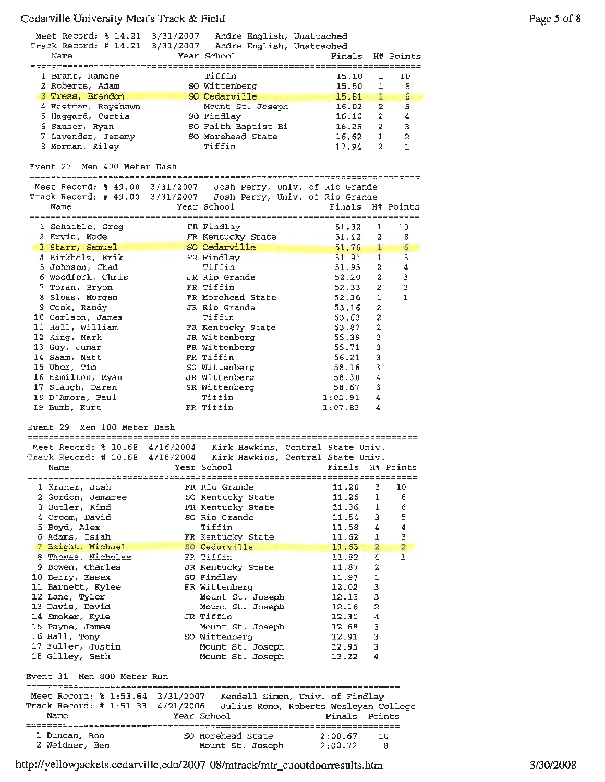| Meet Record: % 14.21 3/31/2007 Andre English, Unattached<br>Track Record: # 14.21 3/31/2007 Andre English, Unattached<br>Name     |                   | Year School                        |  | Finals           |                | H# Points              |
|-----------------------------------------------------------------------------------------------------------------------------------|-------------------|------------------------------------|--|------------------|----------------|------------------------|
| 1 Brant, Ramone                                                                                                                   |                   | Tiffin                             |  | 15.10            | 1              | 10                     |
| 2 Roberts, Adam                                                                                                                   |                   | SO Wittenberg                      |  | 15.50            | 1.             | 8                      |
| 3 Tress, Brandon                                                                                                                  |                   | SO Cedarville                      |  | 15.81            | $\mathbf{1}$   | б                      |
| 4 Eastman, Rayshawn                                                                                                               |                   | Mount St. Joseph                   |  | 16.02            |                | 5<br>$\mathbf{2}$      |
| 5 Haggard, Curtis                                                                                                                 |                   | SO Findlay                         |  | 16.10            | 2.             | 4                      |
| 6 Sauser, Ryan                                                                                                                    |                   | SO Faith Baptist Bi                |  | 16.25            | $2^{\circ}$    | 3                      |
| 7 Lavender, Jeremy                                                                                                                |                   | SO Morehead State<br>Tiffin        |  | 16.62            | $1 -$          | 2                      |
| 8 Morman, Riley                                                                                                                   |                   |                                    |  | 17.94            | $\mathbf{2}$   | 1                      |
| Event 27 Men 400 Meter Dash                                                                                                       |                   |                                    |  |                  |                |                        |
|                                                                                                                                   |                   |                                    |  |                  |                |                        |
| Meet Record: % 49.00 3/31/2007 Josh Perry, Univ. of Rio Grande<br>Track Record: # 49.00 3/31/2007 Josh Perry, Univ. of Rio Grande |                   |                                    |  |                  |                |                        |
| Name                                                                                                                              |                   | Year School                        |  | Finals H# Points |                |                        |
|                                                                                                                                   |                   |                                    |  |                  |                |                        |
| 1 Schaible, Greg                                                                                                                  |                   | FR Findlay                         |  | 51.32            | 1              | 10                     |
| 2 Ervin, Wade                                                                                                                     | FR Kentucky State |                                    |  | 51.42            |                | $\mathbf{2}$<br>8      |
| 3 Starr, Samuel                                                                                                                   |                   | SO Cedarville                      |  | 51.76            | $1 -$          | 6                      |
| 4 Birkholz, Erik                                                                                                                  |                   | FR Findlay<br>Tiffin               |  | 51.91<br>51.93   | 2.             | 5<br>$\mathbf{1}$<br>4 |
| 5 Johnson, Chad<br>6 Woodfork, Chris                                                                                              |                   | JR Rio Grande                      |  | 52.20            | $2 -$          | 3                      |
| 7 Toran, Bryon                                                                                                                    |                   | FR Tiffin                          |  | 52.33            | $\overline{2}$ | $\boldsymbol{2}$       |
| 8 Sloas, Morgan                                                                                                                   |                   | FR Morehead State                  |  | 52.36            | 1              | 1                      |
| 9 Cook, Randy                                                                                                                     |                   | JR Rio Grande                      |  | 53.16            | 2              |                        |
| 10 Carlson, James                                                                                                                 |                   | Tiffin                             |  | 53.63            | 2              |                        |
| 11 Hall, William                                                                                                                  |                   | FR Kentucky State                  |  | 53.87            | $\mathbf{2}$   |                        |
| 12 King, Mark                                                                                                                     |                   | JR Wittenberg                      |  | 55.39            | 3              |                        |
| 13 Guy, Jumar                                                                                                                     |                   | FR Wittenberg                      |  | 55.71            | 3              |                        |
| 14 Saam, Matt                                                                                                                     |                   | FR Tiffin                          |  | 56.21            | 3              |                        |
| 15 Uher, Tim                                                                                                                      |                   | SO Wittenberg                      |  | 58.16            | 3              |                        |
| 16 Hamilton, Ryan                                                                                                                 |                   | JR Wittenberg                      |  | 58.30            | 4              |                        |
| 17 Staugh, Daren                                                                                                                  |                   | SR Wittenberg                      |  | 58.67            | 3              |                        |
| 18 D'Amore, Paul                                                                                                                  |                   | Tiffin                             |  | 1:03.91          | 4              |                        |
| 19 Bumb, Kurt                                                                                                                     |                   | FR Tiffin                          |  | 1:07.83          | 4              |                        |
| Event 29<br>Men 100 Meter Dash                                                                                                    |                   |                                    |  |                  |                |                        |
| Meet Record: % 10.68 4/16/2004 Kirk Hawkins, Central State Univ.                                                                  |                   |                                    |  |                  |                |                        |
| Track Record: # 10.68 4/16/2004 Kirk Hawkins, Central State Univ.                                                                 |                   |                                    |  |                  |                |                        |
| Name                                                                                                                              |                   | Year School                        |  | Finals H# Points |                |                        |
| -----------------------------                                                                                                     |                   |                                    |  |                  |                |                        |
| 1 Kraner, Josh                                                                                                                    |                   | FR Rio Grande                      |  | 11.20            | з              | 10                     |
| 2 Gordon, Jamaree                                                                                                                 |                   | SO Kentucky State                  |  | 11.26            | ı              | θ                      |
| 3 Butler, Kind<br>4 Croom, David                                                                                                  |                   | FR Kentucky State<br>SO Rio Grande |  | 11.36<br>11.54   | 1              | 6<br>5                 |
| 5 Boyd, Alex                                                                                                                      |                   | Tiffin                             |  | 11,58            | 3<br>4         | 4                      |
| 6 Adams, Isiah                                                                                                                    |                   | FR Kentucky State                  |  | 11.62            | $\mathbf{1}$   | 3                      |
| 7 Beight, Michael                                                                                                                 |                   | SO Cedarville                      |  | 11.63            | 2              | $\overline{2}$         |
| 8 Thomas, Nicholas                                                                                                                |                   | FR Tiffin                          |  | 11.82            | $\overline{4}$ | $\mathbf{1}$           |
| 9 Bowen, Charles                                                                                                                  |                   | JR Kentucky State                  |  | 11,87            | 2              |                        |
| 10 Berry, Essex                                                                                                                   |                   | SO Findlay                         |  | 11.97            | 1              |                        |
| 11 Barnett, Kylee                                                                                                                 |                   | FR Wittenberg                      |  | 12.02            | 3              |                        |
| 12 Lane, Tyler                                                                                                                    |                   | Mount St. Joseph                   |  | 12.13            | 3              |                        |
| 13 Davis, David                                                                                                                   |                   | Mount St. Joseph                   |  | 12.16            | 2              |                        |
| 14 Smoker, Kyle                                                                                                                   |                   | JR Tiffin                          |  | 12.30            | 4              |                        |
| 15 Payne, James                                                                                                                   |                   | Mount St. Joseph                   |  | 12.68            | 3              |                        |
| 16 Hall, Tony                                                                                                                     |                   | SO Wittenberg                      |  | 12.91            | 3              |                        |
| 17 Fuller, Justin<br>18 Gilley, Seth                                                                                              |                   | Mount St. Joseph                   |  | 12.95<br>13.22   | 3<br>4         |                        |
| Event 31 Men 800 Meter Run                                                                                                        |                   | Mount St. Joseph                   |  |                  |                |                        |
|                                                                                                                                   |                   |                                    |  |                  |                |                        |
| Meet Record: % 1:53.64 3/31/2007 Kendell Simon, Univ. of Findlay                                                                  |                   |                                    |  |                  |                |                        |
| Track Record: # 1:51.33 4/21/2006 Julius Rono, Roberts Wesleyan College                                                           |                   |                                    |  |                  |                |                        |
| Name                                                                                                                              |                   | Year School                        |  | Finals Points    |                |                        |
|                                                                                                                                   |                   |                                    |  |                  |                |                        |
| 1 Duncan, Ron                                                                                                                     |                   | SO Morehead State                  |  | 2:00.67          | 10             |                        |
| 2 Weidner, Ben                                                                                                                    |                   | Mount St. Joseph 2:00.72           |  |                  | 8              |                        |

http:/ /yellowjackets. cedarviJle .edu/2007-08/mtrack/mtr\_cuoutdoorresults .htm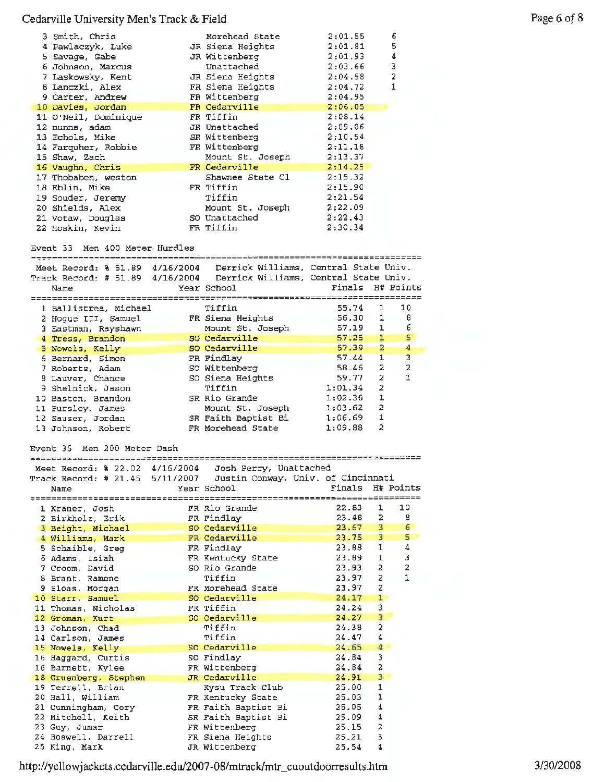| 3 Smith, Chris                          | Morehead State                                                                    | 2:01.55            |                              | 6                       |
|-----------------------------------------|-----------------------------------------------------------------------------------|--------------------|------------------------------|-------------------------|
| 4 Pawlaczyk, Luke                       | JR Siena Heights                                                                  | 2:01.81            |                              | 5                       |
| 5 Savage, Gabe                          | JR Wittenberg                                                                     | 2:01.93            |                              | 4                       |
| 6 Johnson, Marcus                       | Unattached                                                                        | 2:03.66            |                              | 3                       |
| 7 Laskowsky, Kent                       | JR Siena Heights                                                                  | 2:04.58            |                              | 2                       |
| 8 Lanczki, Alex                         | FR Siena Heights                                                                  | 2:04.72            |                              | 1                       |
| 9 Carter, Andrew                        | FR Wittenberg                                                                     | 2:04.95            |                              |                         |
| 10 Davies, Jordan                       | FR Cedarville                                                                     | 2:06.05            |                              |                         |
| 11 O'Neil, Dominique<br>12 nunns, adam  | FR Tiffin<br>JR Unattached                                                        | 2:08.14<br>2:09.06 |                              |                         |
| 13 Echols, Mike                         | SR Wittenberg                                                                     | 2:10.54            |                              |                         |
| 14 Farquher, Robbie                     | FR Wittenberg                                                                     | 2:11.18            |                              |                         |
| 15 Shaw, Zach                           | Mount St. Joseph                                                                  | 2:13.37            |                              |                         |
| 16 Vaughn, Chris                        | FR Cedarville                                                                     | 2:14.25            |                              |                         |
| 17 Thobaben, weston                     | Shawnee State Cl                                                                  | 2:15.32            |                              |                         |
| 18 Eblin, Mike                          | FR Tiffin                                                                         | 2:15.90            |                              |                         |
| 19 Souder, Jeremy                       | Tiffin                                                                            | 2:21.54            |                              |                         |
| 20 Shields, Alex                        | Mount St. Joseph                                                                  | 2:22.09            |                              |                         |
| 21 Votaw, Douglas                       | SO Unattached                                                                     | 2:22.43            |                              |                         |
| 22 Hoskin, Kevin                        | FR Tiffin                                                                         | 2:30.34            |                              |                         |
|                                         |                                                                                   |                    |                              |                         |
| Event 33 Men 400 Meter Hurdles          |                                                                                   |                    |                              |                         |
|                                         | Meet Record: % 51.89 4/16/2004 Derrick Williams, Central State Univ.              |                    |                              |                         |
|                                         | Track Record: # 51.89 4/16/2004  Derrick Williams, Central State Univ.            |                    |                              |                         |
| Name                                    | Year School                                                                       | Finals             |                              | H# Points               |
|                                         |                                                                                   |                    |                              |                         |
| 1 Ballistrea, Michael                   | Tiffin                                                                            | 55.74              | 1                            | 10                      |
| 2 Hogue III, Samuel                     | FR Siena Heights                                                                  | 56.30              | 1                            | 8                       |
| 3 Eastman, Rayshawn                     | Mount St. Joseph                                                                  | 57.19              | 1                            | 6                       |
| 4 Tress, Brandon                        | 50 Cedarville                                                                     | 57.25              | $\mathbf{1}$                 | 5                       |
| 5 Nowels, Kelly                         | SO Cedarville                                                                     | 57.39<br>57.44     | $\mathbf{z}$<br>$\mathbf{1}$ | 4<br>3                  |
| 6 Bernard, Simon                        | FR Findlay<br>SO Wittenberg                                                       | 58.46              | $\overline{2}$               | $\overline{\mathbf{z}}$ |
| 7 Roberts, Adam<br>8 Lauver, Chance     | SO Siena Heights                                                                  | 59.77              | $\overline{2}$               | 1                       |
| 9 Shelnick, Jason                       | Tiffin                                                                            | 1:01.34            | $\overline{\mathbf{2}}$      |                         |
| 10 Baston, Brandon                      | SR Rio Grande                                                                     | 1:02.36            | $\mathbf 1$                  |                         |
|                                         |                                                                                   |                    |                              |                         |
|                                         |                                                                                   |                    |                              |                         |
| 11 Pursley, James                       | Mount St. Joseph                                                                  | 1:03.62<br>1:06.69 | $\overline{\mathbf{2}}$<br>1 |                         |
| 12 Sauser, Jordan<br>13 Johnson, Robert | SR Faith Baptist Bi<br>FR Morehead State                                          | 1:09.88            | 2                            |                         |
|                                         |                                                                                   |                    |                              |                         |
| Men 200 Meter Dash<br>Event 35          |                                                                                   |                    |                              |                         |
|                                         |                                                                                   |                    |                              |                         |
| Meet Record: % 22.02 4/16/2004          | Josh Perry, Unattached                                                            |                    |                              |                         |
|                                         | Track Record: # 21.45 5/11/2007 Justin Conway, Univ. of Cincinnati<br>Year School | Finals             |                              | H# Points               |
| Name                                    |                                                                                   |                    |                              |                         |
| 1 Kraner, Josh                          | FR Rio Grande                                                                     | 22.83              | 1                            | 10                      |
| 2 Birkholz, Erik                        | FR Findlay                                                                        | 23.48              | 2                            | 8                       |
| 3 Beight, Michael                       | SO Cedarville                                                                     | 23.67              | 3                            | $\epsilon$              |
| 4 Williams, Mark                        | FR Cedarville                                                                     | 23.75              | 3                            | 5                       |
| 5 Schaible, Greg                        | FR Findlay                                                                        | 23.88              | ı                            | 4                       |
| 6 Adams, Isiah                          | FR Kentucky State                                                                 | 23.89              | $\mathbf{1}$                 | 3                       |
| 7 Croom, David                          | SO Rio Grande                                                                     | 23.93              | 2                            | 2                       |
| 8 Brant, Ramone                         | Tiffin                                                                            | 23.97              | 2.                           | 1                       |
| 9 Sloas, Morgan                         | FR Morehead State                                                                 | 23.97              | 2                            |                         |
| 10 Starr, Samuel                        | SO Cedarville                                                                     | 24.17              | $1 -$                        |                         |
| 11 Thomas, Nicholas                     | FR Tiffin                                                                         | 24.24              | 3                            |                         |
| 12 Groman, Kurt                         | SO Cedarville                                                                     | 24.27              | 3                            |                         |
| 13 Johnson, Chad                        | Tiffin                                                                            | 24.38<br>24.47     | 2<br>4                       |                         |
| 14 Carlson, James                       | Tiffin<br>SO Cedarville                                                           | 24.65              | 4                            |                         |
| 15 Nowels, Kelly<br>16 Haggard, Curtis  | SO Findlay                                                                        | 24.84              | 3                            |                         |
| 16 Barnett, Kylee                       | FR Wittenberg                                                                     | 24.84              | 2                            |                         |
| 18 Gruenberg, Stephen                   | JR Cedarville                                                                     | 24.91              | 3                            |                         |
| 19 Terrell, Brian                       | Kysu Track Club                                                                   | 25.00              | 1                            |                         |
| 20 Hall, William                        | FR Kentucky State                                                                 | 25.03              | 1                            |                         |
| 21 Cunningham, Cory                     | FR Faith Baptist Bi                                                               | 25.05              | 4                            |                         |
| 22 Mitchell, Keith                      | SR Faith Baptist Bi                                                               | 25.09              | 4                            |                         |
| 23 Guy, Jumar                           | FR Wittenberg                                                                     | 25.15              | 2                            |                         |
| 24 Boswell, Darrell<br>25 King, Mark    | FR Siena Heights<br>JR Wittenberg                                                 | 25.21<br>25.54     | з<br>4                       |                         |

http://yellowj ackets .cedarville .edu/2007-08/mtrack/mtr\_cuoutdoorresults .htrn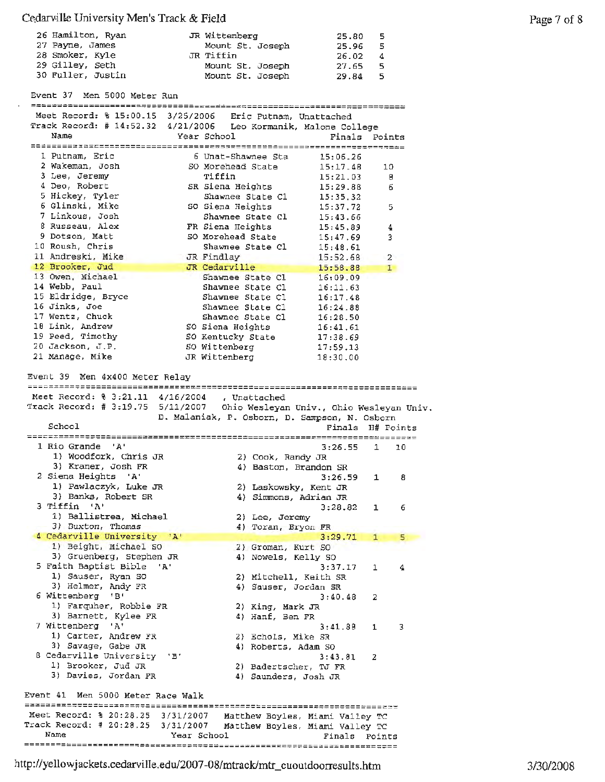| 26 Hamilton, Ryan | JR Wittenberg    | 25.80 | - 5  |
|-------------------|------------------|-------|------|
| 27 Payne, James   | Mount St. Joseph | 25.96 | - 5  |
| 28 Smoker, Kyle   | JR Tiffin        | 26.02 | -4   |
| 29 Gilley, Seth   | Mount St. Joseph | 27.65 | - 5. |
| 30 Fuller, Justin | Mount St. Joseph | 29.84 | -5.  |

Event 37 Men 5000 Meter Run

| Meet Record: % 15:00.15 3/25/2006 Eric Putnam, Unattached       |                             |                                               |                                           |                |  |
|-----------------------------------------------------------------|-----------------------------|-----------------------------------------------|-------------------------------------------|----------------|--|
| Track Record: $# 14:52.32$                                      |                             | 4/21/2006 Leo Kormanik, Malone College        |                                           |                |  |
| Name                                                            |                             | Year School                                   | Finals                                    | Points         |  |
|                                                                 |                             |                                               |                                           |                |  |
| 1 Putnam, Eric                                                  |                             | 6 Unat-Shawnee Sta                            | 15:06.26                                  |                |  |
| 2 Wakeman, Josh                                                 |                             | SO Morehead State                             | 15:17.48                                  | 10             |  |
| 3 Lee, Jeremy                                                   |                             | Tiffin                                        | 15:21.03                                  | 8              |  |
| 4 Deo, Robert                                                   |                             | SR Siena Heights                              | 15:29.88                                  | 6              |  |
| 5 Hickey, Tyler                                                 |                             | Shawnee State Cl                              | 15:35.32                                  |                |  |
| 6 Glinski, Mike                                                 |                             | SO Siena Heights                              | 15:37.72                                  | 5              |  |
| 7 Linkous, Josh                                                 |                             | Shawnee State Cl                              | 15:43.66                                  |                |  |
| 8 Russeau, Alex                                                 |                             | FR Siena Heights                              | 15:45.89                                  | 4              |  |
| 9 Dotson, Matt                                                  |                             | SO Morehead State                             | 15:47.69                                  | 3              |  |
| 10 Roush, Chris                                                 |                             | Shawnee State Cl                              | 15:48.61                                  |                |  |
| 11 Andreski, Mike                                               |                             | JR Findlay                                    | 15:52.68                                  | $\overline{2}$ |  |
| 12 Brooker, Jud                                                 |                             | JR Cedarville                                 | 15:58.88                                  | $1 -$          |  |
| 13 Owen, Michael                                                |                             | Shawnee State Cl                              | 16:09.09                                  |                |  |
| 14 Webb, Paul                                                   |                             | Shawnee State Cl                              | 16:11.63                                  |                |  |
| 15 Eldridge, Bryce                                              |                             | Shawnee State Cl                              | 16:17.48                                  |                |  |
| 16 Jinks, Joe                                                   |                             | Shawnee State C1                              | 16:24.88                                  |                |  |
| 17 Wentz, Chuck                                                 |                             | Shawnee State Cl                              | 16:28.50                                  |                |  |
| 18 Link, Andrew                                                 |                             | SO Siena Heights                              | 16:41.61                                  |                |  |
| 19 Peed, Timothy                                                |                             | SO Kentucky State                             | 17:38.69                                  |                |  |
| 20 Jackson, J.P.                                                |                             | SO Wittenberg                                 | 17:59.13                                  |                |  |
| 21 Manage, Mike                                                 |                             | JR Wittenberg                                 | 18:30.00                                  |                |  |
|                                                                 |                             |                                               |                                           |                |  |
| Event 39 Men 4x400 Meter Relav                                  |                             |                                               |                                           |                |  |
|                                                                 |                             |                                               |                                           |                |  |
| Meet Record: % 3:21.11 4/16/2004                                |                             | , Unattached                                  |                                           |                |  |
| Track Record: # 3:19.75 5/11/2007                               |                             |                                               | Ohio Wesleyan Univ., Ohio Wesleyan Univ.  |                |  |
|                                                                 |                             | D. Malaniak, P. Osborn, D. Sampson, N. Osborn |                                           |                |  |
|                                                                 |                             |                                               |                                           |                |  |
| School                                                          |                             |                                               | Finals                                    | H# Points      |  |
|                                                                 |                             |                                               |                                           |                |  |
| 1 Rio Grande<br>$^{\prime}$ A <sup><math>^{\prime}</math></sup> |                             |                                               | 3:26.55                                   | 1<br>10        |  |
| 1) Woodfork, Chris JR                                           |                             | 2) Cook, Randy JR                             |                                           |                |  |
| 3) Kraner, Josh FR                                              |                             |                                               | 4) Baston, Brandon SR                     |                |  |
| 2 Siena Heights 'A'                                             |                             |                                               | 3:26.59                                   | 1<br>8         |  |
| 1) Pawlaczyk, Luke JR                                           |                             |                                               | 2) Laskowsky, Kent JR                     |                |  |
| 3) Banks, Robert SR                                             |                             |                                               | 4) Simmons, Adrian JR                     |                |  |
| 3 Tiffin 'A'                                                    |                             |                                               | 3:28.82                                   | 1<br>6         |  |
| 1) Ballistrea, Michael                                          |                             | 2) Lee, Jeremy                                |                                           |                |  |
| 3) Buxton, Thomas                                               |                             | 4) Toran, Bryon FR                            |                                           |                |  |
| 4 Cedarville University                                         | $^{\dagger}$ A $^{\dagger}$ |                                               | 3:29.71                                   | 1<br>5         |  |
| 1) Beight, Michael SO                                           |                             | 2) Groman, Kurt SO                            |                                           |                |  |
| 3) Gruenberg, Stephen JR                                        |                             | 4) Nowels, Kelly SO                           |                                           |                |  |
| 5 Faith Baptist Bible<br>- 'A'                                  |                             |                                               | 3:37.17                                   | 1<br>4         |  |
| 1) Sauser, Ryan SO                                              |                             |                                               | 2) Mitchell, Keith SR                     |                |  |
| 3) Helmer, Andy FR                                              |                             | 4) Sauser, Jordan SR                          |                                           |                |  |
| 6 Wittenberg 'B'                                                |                             |                                               | 3:40.48                                   | 2              |  |
| 1) Farquher, Robbie FR                                          |                             | 2) King, Mark JR                              |                                           |                |  |
| 3) Barnett, Kylee FR                                            |                             | 4) Hanf, Ben FR                               |                                           |                |  |
| 7 Wittenberg 'A'                                                |                             |                                               | 3:41.88                                   | 3<br>1         |  |
| 1) Carter, Andrew FR                                            |                             | 2) Echols, Mike SR                            |                                           |                |  |
| 3) Savage, Gabe JR                                              |                             | 4) Roberts, Adam SO                           |                                           |                |  |
| 8 Cedarville University                                         | "B"                         |                                               | 3:43.81                                   | 2              |  |
| 1) Brooker, Jud JR                                              |                             |                                               | 2) Badertscher, TJ FR                     |                |  |
| 3) Davies, Jordan FR                                            |                             | 4) Saunders, Josh JR                          |                                           |                |  |
| Event 41 Men 5000 Meter Race Walk                               |                             |                                               |                                           |                |  |
|                                                                 |                             |                                               |                                           |                |  |
| Meet Record: % 20:28.25 3/31/2007                               |                             |                                               | Matthew Boyles, Miami Valley TC           |                |  |
| Track Record: # 20:28.25 3/31/2007<br>Name                      | Year School                 |                                               | Matthew Boyles, Miami Valley TC<br>Finals | Points         |  |

http:/ /yellowjackets.cedarville.edu/2007-08/mtrack/mtr\_cuoutdoorresults.htm